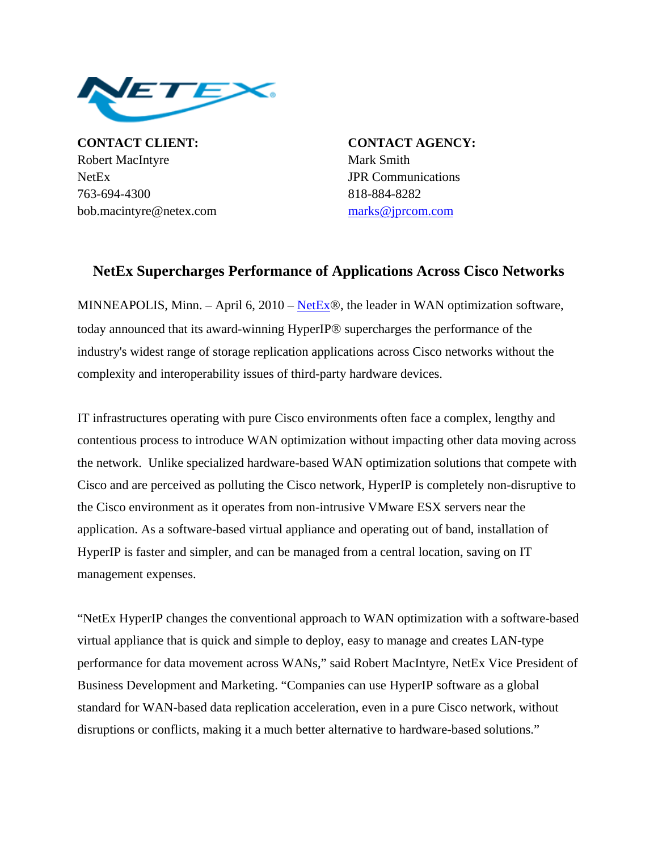

**CONTACT CLIENT: CONTACT AGENCY:** Robert MacIntyre Mark Smith NetEx **JPR** Communications 763-694-4300 818-884-8282 bob.macintyre@netex.com [marks@jprcom.com](mailto:marks@jprcom.com)

## **NetEx Supercharges Performance of Applications Across Cisco Networks**

MINNEAPOLIS, Minn. – April 6, 2010 – [NetEx](http://www.netex.com/)®, the leader in WAN optimization software, today announced that its award-winning HyperIP® supercharges the performance of the industry's widest range of storage replication applications across Cisco networks without the complexity and interoperability issues of third-party hardware devices.

IT infrastructures operating with pure Cisco environments often face a complex, lengthy and contentious process to introduce WAN optimization without impacting other data moving across the network. Unlike specialized hardware-based WAN optimization solutions that compete with Cisco and are perceived as polluting the Cisco network, HyperIP is completely non-disruptive to the Cisco environment as it operates from non-intrusive VMware ESX servers near the application. As a software-based virtual appliance and operating out of band, installation of HyperIP is faster and simpler, and can be managed from a central location, saving on IT management expenses.

"NetEx HyperIP changes the conventional approach to WAN optimization with a software-based virtual appliance that is quick and simple to deploy, easy to manage and creates LAN-type performance for data movement across WANs," said Robert MacIntyre, NetEx Vice President of Business Development and Marketing. "Companies can use HyperIP software as a global standard for WAN-based data replication acceleration, even in a pure Cisco network, without disruptions or conflicts, making it a much better alternative to hardware-based solutions."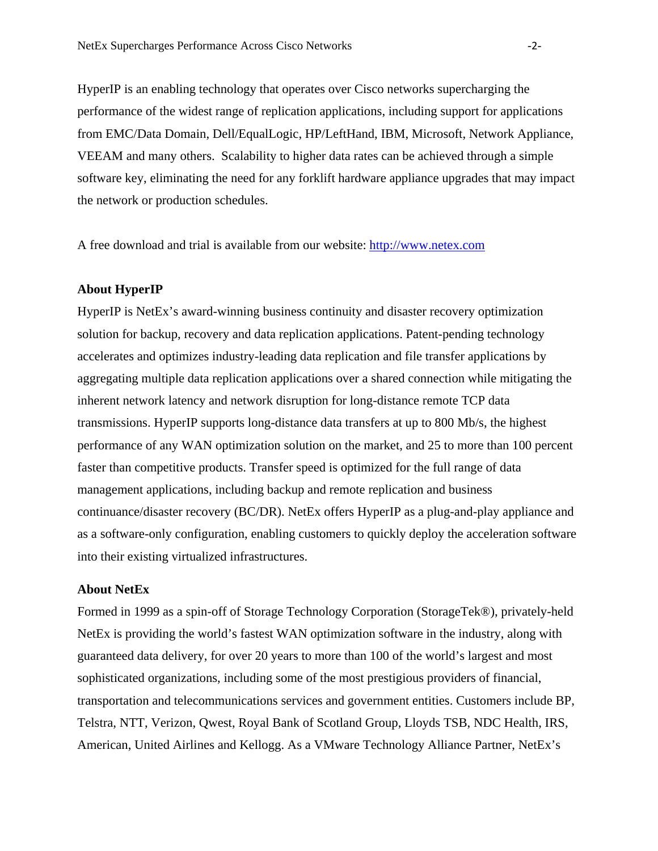HyperIP is an enabling technology that operates over Cisco networks supercharging the performance of the widest range of replication applications, including support for applications from EMC/Data Domain, Dell/EqualLogic, HP/LeftHand, IBM, Microsoft, Network Appliance, VEEAM and many others. Scalability to higher data rates can be achieved through a simple software key, eliminating the need for any forklift hardware appliance upgrades that may impact the network or production schedules.

A free download and trial is available from our website: [http://www.netex.com](http://www.netex.com/)

## **About HyperIP**

HyperIP is NetEx's award-winning business continuity and disaster recovery optimization solution for backup, recovery and data replication applications. Patent-pending technology accelerates and optimizes industry-leading data replication and file transfer applications by aggregating multiple data replication applications over a shared connection while mitigating the inherent network latency and network disruption for long-distance remote TCP data transmissions. HyperIP supports long-distance data transfers at up to 800 Mb/s, the highest performance of any WAN optimization solution on the market, and 25 to more than 100 percent faster than competitive products. Transfer speed is optimized for the full range of data management applications, including backup and remote replication and business continuance/disaster recovery (BC/DR). NetEx offers HyperIP as a plug-and-play appliance and as a software-only configuration, enabling customers to quickly deploy the acceleration software into their existing virtualized infrastructures.

## **About NetEx**

Formed in 1999 as a spin-off of Storage Technology Corporation (StorageTek®), privately-held NetEx is providing the world's fastest WAN optimization software in the industry, along with guaranteed data delivery, for over 20 years to more than 100 of the world's largest and most sophisticated organizations, including some of the most prestigious providers of financial, transportation and telecommunications services and government entities. Customers include BP, Telstra, NTT, Verizon, Qwest, Royal Bank of Scotland Group, Lloyds TSB, NDC Health, IRS, American, United Airlines and Kellogg. As a VMware Technology Alliance Partner, NetEx's